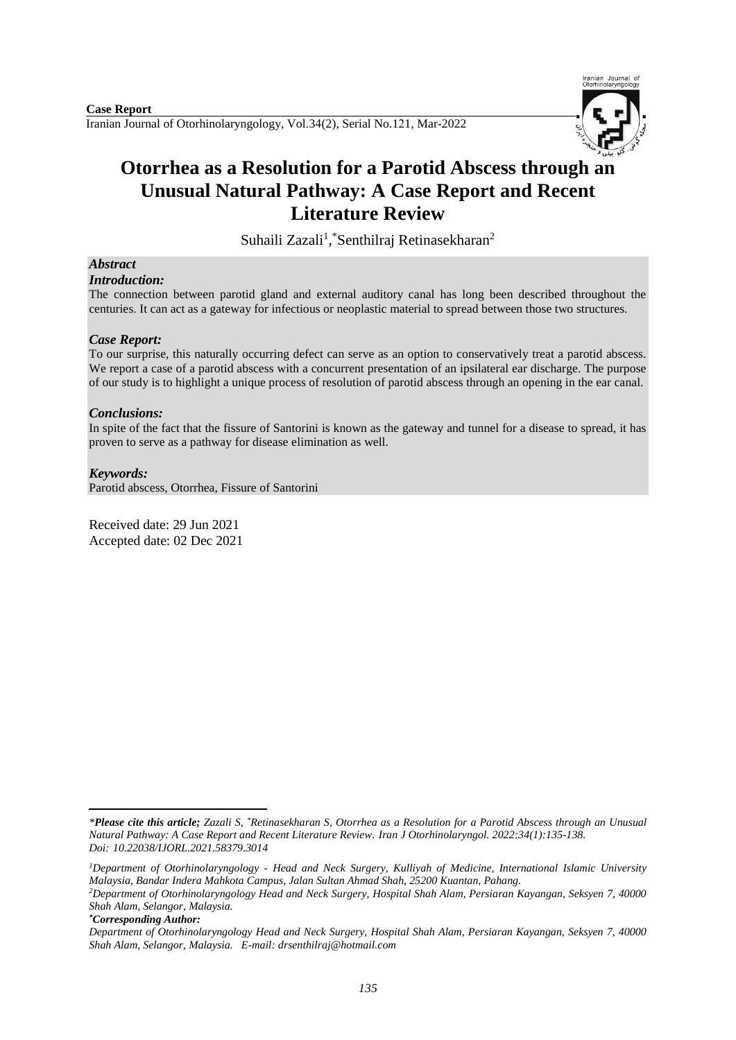

# **Otorrhea as a Resolution for a Parotid Abscess through an Unusual Natural Pathway: A Case Report and Recent Literature Review**

Suhaili Zazali<sup>1</sup>, Senthilraj Retinasekharan<sup>2</sup>

# *Abstract*

*Introduction:*

The connection between parotid gland and external auditory canal has long been described throughout the centuries. It can act as a gateway for infectious or neoplastic material to spread between those two structures.

## *Case Report:*

To our surprise, this naturally occurring defect can serve as an option to conservatively treat a parotid abscess. We report a case of a parotid abscess with a concurrent presentation of an ipsilateral ear discharge. The purpose of our study is to highlight a unique process of resolution of parotid abscess through an opening in the ear canal.

## *Conclusions:*

In spite of the fact that the fissure of Santorini is known as the gateway and tunnel for a disease to spread, it has proven to serve as a pathway for disease elimination as well.

## *Keywords:*

Parotid abscess, Otorrhea, Fissure of Santorini

Received date: 29 Jun 2021 Accepted date: 02 Dec 2021

*\*Corresponding Author:*

 $\overline{a}$ *\*Please cite this article; Zazali S, \*Retinasekharan S, Otorrhea as a Resolution for a Parotid Abscess through an Unusual Natural Pathway: A Case Report and Recent Literature Review. [Iran J Otorhinolaryngol.](https://www.ncbi.nlm.nih.gov/pubmed/?term=Tri-layer+Tympanoplasty+as+a+New+Technique+in+High-risk+Tympanic+Membrane+Perforations) 2022:34(1):135-138. Doi: 10.22038/IJORL.2021.58379.3014*

*<sup>1</sup>Department of Otorhinolaryngology - Head and Neck Surgery, Kulliyah of Medicine, International Islamic University Malaysia, Bandar Indera Mahkota Campus, Jalan Sultan Ahmad Shah, 25200 Kuantan, Pahang.*

*<sup>2</sup>Department of Otorhinolaryngology Head and Neck Surgery, Hospital Shah Alam, Persiaran Kayangan, Seksyen 7, 40000 Shah Alam, Selangor, Malaysia.*

*Department of Otorhinolaryngology Head and Neck Surgery, Hospital Shah Alam, Persiaran Kayangan, Seksyen 7, 40000 Shah Alam, Selangor, Malaysia. E-mail: drsenthilraj@hotmail.com*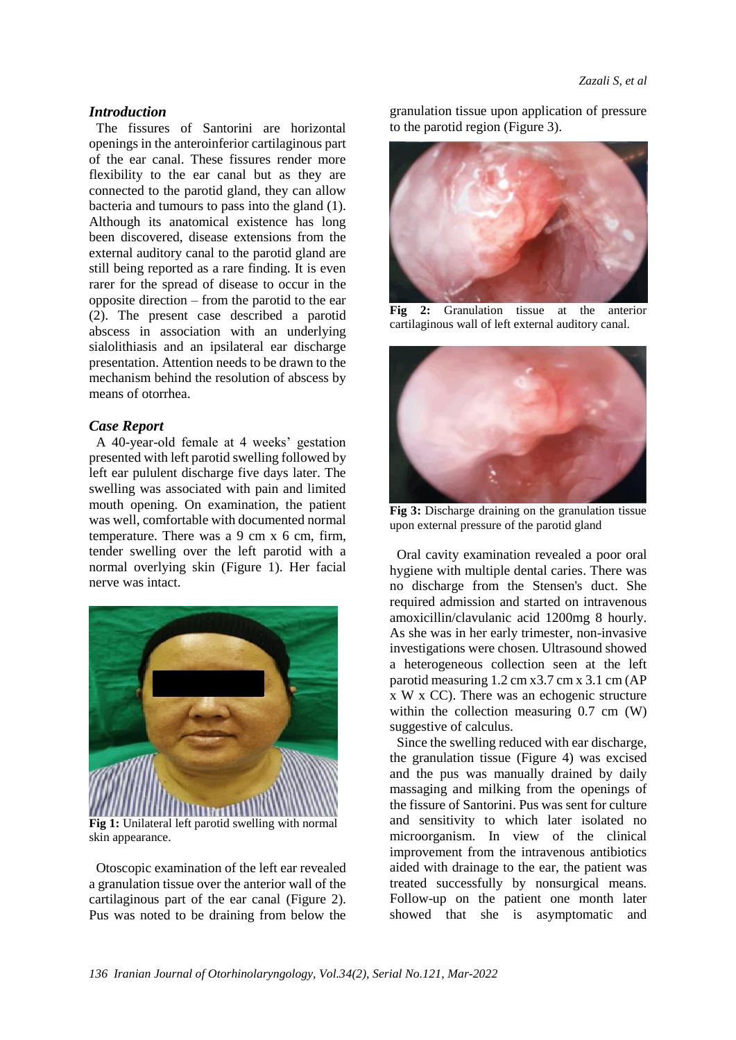## *Introduction*

The fissures of Santorini are horizontal openings in the anteroinferior cartilaginous part of the ear canal. These fissures render more flexibility to the ear canal but as they are connected to the parotid gland, they can allow bacteria and tumours to pass into the gland (1). Although its anatomical existence has long been discovered, disease extensions from the external auditory canal to the parotid gland are still being reported as a rare finding. It is even rarer for the spread of disease to occur in the opposite direction – from the parotid to the ear (2). The present case described a parotid abscess in association with an underlying sialolithiasis and an ipsilateral ear discharge presentation. Attention needs to be drawn to the mechanism behind the resolution of abscess by means of otorrhea.

### *Case Report*

A 40-year-old female at 4 weeks' gestation presented with left parotid swelling followed by left ear pululent discharge five days later. The swelling was associated with pain and limited mouth opening. On examination, the patient was well, comfortable with documented normal temperature. There was a 9 cm x 6 cm, firm, tender swelling over the left parotid with a normal overlying skin (Figure 1). Her facial nerve was intact.



**Fig 1:** Unilateral left parotid swelling with normal skin appearance.

Otoscopic examination of the left ear revealed a granulation tissue over the anterior wall of the cartilaginous part of the ear canal (Figure 2). Pus was noted to be draining from below the

granulation tissue upon application of pressure to the parotid region (Figure 3).



**Fig 2:** Granulation tissue at the anterior cartilaginous wall of left external auditory canal.



**Fig 3:** Discharge draining on the granulation tissue upon external pressure of the parotid gland

Oral cavity examination revealed a poor oral hygiene with multiple dental caries. There was no discharge from the Stensen's duct. She required admission and started on intravenous amoxicillin/clavulanic acid 1200mg 8 hourly. As she was in her early trimester, non-invasive investigations were chosen. Ultrasound showed a heterogeneous collection seen at the left parotid measuring 1.2 cm x3.7 cm x 3.1 cm (AP x W x CC). There was an echogenic structure within the collection measuring 0.7 cm (W) suggestive of calculus.

Since the swelling reduced with ear discharge, the granulation tissue (Figure 4) was excised and the pus was manually drained by daily massaging and milking from the openings of the fissure of Santorini. Pus was sent for culture and sensitivity to which later isolated no microorganism. In view of the clinical improvement from the intravenous antibiotics aided with drainage to the ear, the patient was treated successfully by nonsurgical means. Follow-up on the patient one month later showed that she is asymptomatic and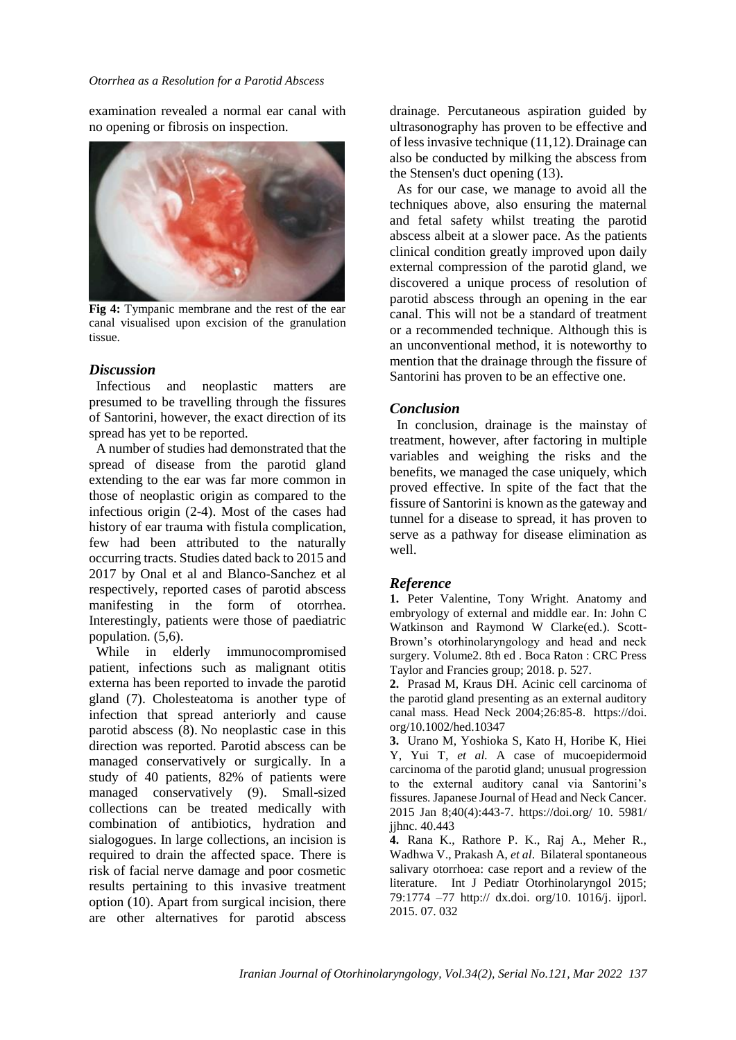#### *Otorrhea as a Resolution for a Parotid Abscess*

examination revealed a normal ear canal with no opening or fibrosis on inspection.



**Fig 4:** Tympanic membrane and the rest of the ear canal visualised upon excision of the granulation tissue.

## *Discussion*

Infectious and neoplastic matters are presumed to be travelling through the fissures of Santorini, however, the exact direction of its spread has yet to be reported.

A number of studies had demonstrated that the spread of disease from the parotid gland extending to the ear was far more common in those of neoplastic origin as compared to the infectious origin (2-4). Most of the cases had history of ear trauma with fistula complication, few had been attributed to the naturally occurring tracts. Studies dated back to 2015 and 2017 by Onal et al and Blanco-Sanchez et al respectively, reported cases of parotid abscess manifesting in the form of otorrhea. Interestingly, patients were those of paediatric population*.* (5,6).

While in elderly immunocompromised patient, infections such as malignant otitis externa has been reported to invade the parotid gland (7). Cholesteatoma is another type of infection that spread anteriorly and cause parotid abscess (8). No neoplastic case in this direction was reported. Parotid abscess can be managed conservatively or surgically. In a study of 40 patients, 82% of patients were managed conservatively (9). Small-sized collections can be treated medically with combination of antibiotics, hydration and sialogogues. In large collections, an incision is required to drain the affected space. There is risk of facial nerve damage and poor cosmetic results pertaining to this invasive treatment option (10). Apart from surgical incision, there are other alternatives for parotid abscess

drainage. Percutaneous aspiration guided by ultrasonography has proven to be effective and of less invasive technique (11,12).Drainage can also be conducted by milking the abscess from the Stensen's duct opening (13).

As for our case, we manage to avoid all the techniques above, also ensuring the maternal and fetal safety whilst treating the parotid abscess albeit at a slower pace. As the patients clinical condition greatly improved upon daily external compression of the parotid gland, we discovered a unique process of resolution of parotid abscess through an opening in the ear canal. This will not be a standard of treatment or a recommended technique. Although this is an unconventional method, it is noteworthy to mention that the drainage through the fissure of Santorini has proven to be an effective one.

## *Conclusion*

In conclusion, drainage is the mainstay of treatment, however, after factoring in multiple variables and weighing the risks and the benefits, we managed the case uniquely, which proved effective. In spite of the fact that the fissure of Santorini is known as the gateway and tunnel for a disease to spread, it has proven to serve as a pathway for disease elimination as well.

### *Reference*

**1.** Peter Valentine, Tony Wright. Anatomy and embryology of external and middle ear. In: John C Watkinson and Raymond W Clarke(ed.). Scott-Brown's otorhinolaryngology and head and neck surgery. Volume2. 8th ed . Boca Raton : CRC Press Taylor and Francies group; 2018. p. 527.

**2.** Prasad M, Kraus DH. Acinic cell carcinoma of the parotid gland presenting as an external auditory canal mass. Head Neck 2004;26:85-8. https://doi. org/10.1002/hed.10347

**3.** Urano M, Yoshioka S, Kato H, Horibe K, Hiei Y, Yui T, *et al.* A case of mucoepidermoid carcinoma of the parotid gland; unusual progression to the external auditory canal via Santorini's fissures. Japanese Journal of Head and Neck Cancer. 2015 Jan 8;40(4):443-7.<https://doi.org/> 10. 5981/ jjhnc. 40.443

**4.** Rana K., Rathore P. K., Raj A., Meher R., Wadhwa V., Prakash A, *et al*. Bilateral spontaneous salivary otorrhoea: case report and a review of the literature. Int J Pediatr Otorhinolaryngol 2015; 79:1774 –77 http:// dx.doi. org/10. 1016/j. ijporl. 2015. 07. 032